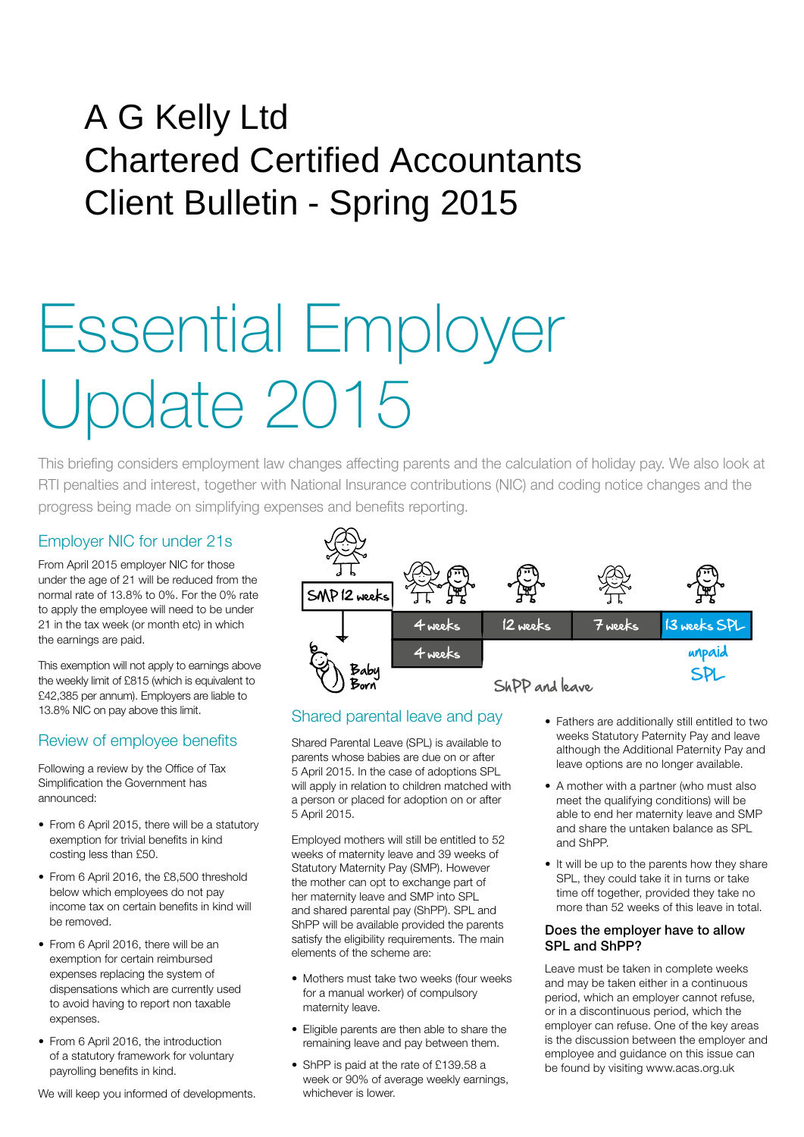# A G Kelly Ltd Chartered Certified Accountants Client Bulletin - Spring 2015

# Essential Employer Update 2015

This briefing considers employment law changes affecting parents and the calculation of holiday pay. We also look at RTI penalties and interest, together with National Insurance contributions (NIC) and coding notice changes and the progress being made on simplifying expenses and benefits reporting.

### Employer NIC for under 21s

From April 2015 employer NIC for those under the age of 21 will be reduced from the normal rate of 13.8% to 0%. For the 0% rate to apply the employee will need to be under 21 in the tax week (or month etc) in which the earnings are paid.

This exemption will not apply to earnings above the weekly limit of £815 (which is equivalent to £42,385 per annum). Employers are liable to 13.8% NIC on pay above this limit.

# Review of employee benefits

Following a review by the Office of Tax Simplification the Government has announced:

- From 6 April 2015, there will be a statutory exemption for trivial benefits in kind costing less than £50.
- From 6 April 2016, the £8,500 threshold below which employees do not pay income tax on certain benefits in kind will be removed.
- From 6 April 2016, there will be an exemption for certain reimbursed expenses replacing the system of dispensations which are currently used to avoid having to report non taxable expenses.
- From 6 April 2016, the introduction of a statutory framework for voluntary payrolling benefits in kind.

We will keep you informed of developments.



# Shared parental leave and pay

Shared Parental Leave (SPL) is available to parents whose babies are due on or after 5 April 2015. In the case of adoptions SPL will apply in relation to children matched with a person or placed for adoption on or after 5 April 2015.

Employed mothers will still be entitled to 52 weeks of maternity leave and 39 weeks of Statutory Maternity Pay (SMP). However the mother can opt to exchange part of her maternity leave and SMP into SPL and shared parental pay (ShPP). SPL and ShPP will be available provided the parents satisfy the eligibility requirements. The main elements of the scheme are:

- Mothers must take two weeks (four weeks for a manual worker) of compulsory maternity leave.
- Eligible parents are then able to share the remaining leave and pay between them.
- ShPP is paid at the rate of £139.58 a week or 90% of average weekly earnings, whichever is lower.
- Fathers are additionally still entitled to two weeks Statutory Paternity Pay and leave although the Additional Paternity Pay and leave options are no longer available.
- A mother with a partner (who must also meet the qualifying conditions) will be able to end her maternity leave and SMP and share the untaken balance as SPL and ShPP.
- It will be up to the parents how they share SPL, they could take it in turns or take time off together, provided they take no more than 52 weeks of this leave in total.

#### Does the employer have to allow SPL and ShPP?

Leave must be taken in complete weeks and may be taken either in a continuous period, which an employer cannot refuse, or in a discontinuous period, which the employer can refuse. One of the key areas is the discussion between the employer and employee and guidance on this issue can be found by visiting www.acas.org.uk